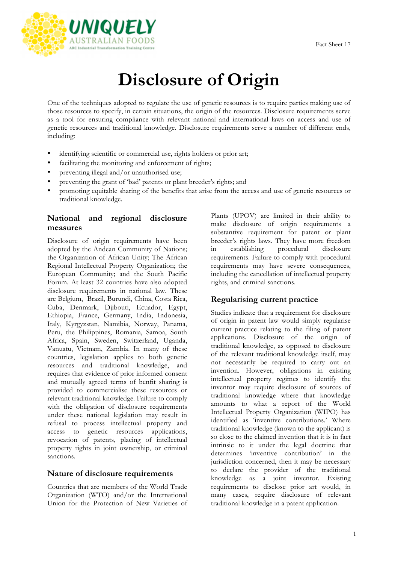

# **Disclosure of Origin**

One of the techniques adopted to regulate the use of genetic resources is to require parties making use of those resources to specify, in certain situations, the origin of the resources. Disclosure requirements serve as a tool for ensuring compliance with relevant national and international laws on access and use of genetic resources and traditional knowledge. Disclosure requirements serve a number of different ends, including:

- identifying scientific or commercial use, rights holders or prior art;
- facilitating the monitoring and enforcement of rights;
- preventing illegal and/or unauthorised use;
- preventing the grant of 'bad' patents or plant breeder's rights; and
- promoting equitable sharing of the benefits that arise from the access and use of genetic resources or traditional knowledge.

## **National and regional disclosure measures**

Disclosure of origin requirements have been adopted by the Andean Community of Nations; the Organization of African Unity; The African Regional Intellectual Property Organization; the European Community; and the South Pacific Forum. At least 32 countries have also adopted disclosure requirements in national law. These are Belgium, Brazil, Burundi, China, Costa Rica, Cuba, Denmark, Djibouti, Ecuador, Egypt, Ethiopia, France, Germany, India, Indonesia, Italy, Kyrgyzstan, Namibia, Norway, Panama, Peru, the Philippines, Romania, Samoa, South Africa, Spain, Sweden, Switzerland, Uganda, Vanuatu, Vietnam, Zambia. In many of these countries, legislation applies to both genetic resources and traditional knowledge, and requires that evidence of prior informed consent and mutually agreed terms of benfit sharing is provided to commercialise these resources or relevant traditional knowledge. Failure to comply with the obligation of disclosure requirements under these national legislation may result in refusal to process intellectual property and access to genetic resources applications, revocation of patents, placing of intellectual property rights in joint ownership, or criminal sanctions.

#### **Nature of disclosure requirements**

Countries that are members of the World Trade Organization (WTO) and/or the International Union for the Protection of New Varieties of

Plants (UPOV) are limited in their ability to make disclosure of origin requirements a substantive requirement for patent or plant breeder's rights laws. They have more freedom in establishing procedural disclosure requirements. Failure to comply with procedural requirements may have severe consequences, including the cancellation of intellectual property rights, and criminal sanctions.

## **Regularising current practice**

Studies indicate that a requirement for disclosure of origin in patent law would simply regularise current practice relating to the filing of patent applications. Disclosure of the origin of traditional knowledge, as opposed to disclosure of the relevant traditional knowledge itself, may not necessarily be required to carry out an invention. However, obligations in existing intellectual property regimes to identify the inventor may require disclosure of sources of traditional knowledge where that knowledge amounts to what a report of the World Intellectual Property Organization (WIPO) has identified as 'inventive contributions.' Where traditional knowledge (known to the applicant) is so close to the claimed invention that it is in fact intrinsic to it under the legal doctrine that determines 'inventive contribution' in the jurisdiction concerned, then it may be necessary to declare the provider of the traditional knowledge as a joint inventor. Existing requirements to disclose prior art would, in many cases, require disclosure of relevant traditional knowledge in a patent application.